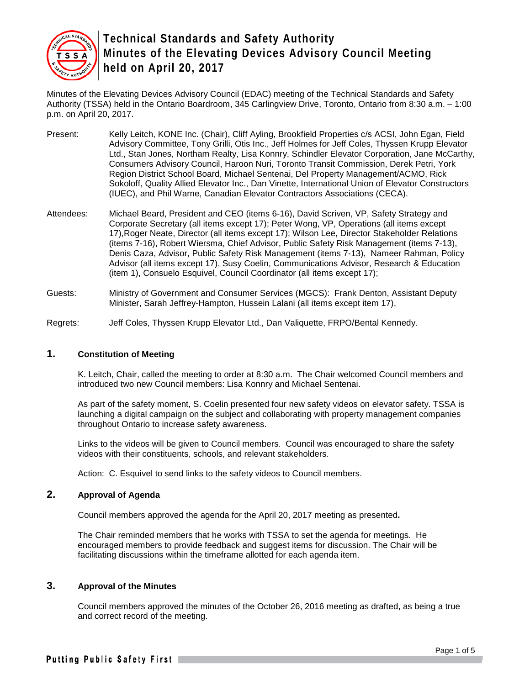

Minutes of the Elevating Devices Advisory Council (EDAC) meeting of the Technical Standards and Safety Authority (TSSA) held in the Ontario Boardroom, 345 Carlingview Drive, Toronto, Ontario from 8:30 a.m. – 1:00 p.m. on April 20, 2017.

- Present: Kelly Leitch, KONE Inc. (Chair), Cliff Ayling, Brookfield Properties c/s ACSI, John Egan, Field Advisory Committee, Tony Grilli, Otis Inc., Jeff Holmes for Jeff Coles, Thyssen Krupp Elevator Ltd., Stan Jones, Northam Realty, Lisa Konnry, Schindler Elevator Corporation, Jane McCarthy, Consumers Advisory Council, Haroon Nuri, Toronto Transit Commission, Derek Petri, York Region District School Board, Michael Sentenai, Del Property Management/ACMO, Rick Sokoloff, Quality Allied Elevator Inc., Dan Vinette, International Union of Elevator Constructors (IUEC), and Phil Warne, Canadian Elevator Contractors Associations (CECA).
- Attendees: Michael Beard, President and CEO (items 6-16), David Scriven, VP, Safety Strategy and Corporate Secretary (all items except 17); Peter Wong, VP, Operations (all items except 17),Roger Neate, Director (all items except 17); Wilson Lee, Director Stakeholder Relations (items 7-16), Robert Wiersma, Chief Advisor, Public Safety Risk Management (items 7-13), Denis Caza, Advisor, Public Safety Risk Management (items 7-13), Nameer Rahman, Policy Advisor (all items except 17), Susy Coelin, Communications Advisor, Research & Education (item 1), Consuelo Esquivel, Council Coordinator (all items except 17);
- Guests: Ministry of Government and Consumer Services (MGCS): Frank Denton, Assistant Deputy Minister, Sarah Jeffrey-Hampton, Hussein Lalani (all items except item 17),
- Regrets: Jeff Coles, Thyssen Krupp Elevator Ltd., Dan Valiquette, FRPO/Bental Kennedy.

# **1. Constitution of Meeting**

K. Leitch, Chair, called the meeting to order at 8:30 a.m. The Chair welcomed Council members and introduced two new Council members: Lisa Konnry and Michael Sentenai.

As part of the safety moment, S. Coelin presented four new safety videos on elevator safety. TSSA is launching a digital campaign on the subject and collaborating with property management companies throughout Ontario to increase safety awareness.

Links to the videos will be given to Council members. Council was encouraged to share the safety videos with their constituents, schools, and relevant stakeholders.

Action: C. Esquivel to send links to the safety videos to Council members.

## **2. Approval of Agenda**

Council members approved the agenda for the April 20, 2017 meeting as presented**.** 

The Chair reminded members that he works with TSSA to set the agenda for meetings. He encouraged members to provide feedback and suggest items for discussion. The Chair will be facilitating discussions within the timeframe allotted for each agenda item.

#### **3. Approval of the Minutes**

Council members approved the minutes of the October 26, 2016 meeting as drafted, as being a true and correct record of the meeting.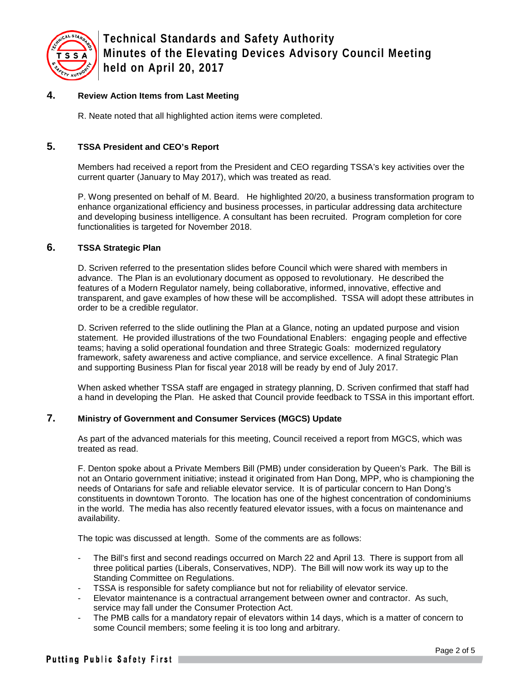

## **4. Review Action Items from Last Meeting**

R. Neate noted that all highlighted action items were completed.

## **5. TSSA President and CEO's Report**

Members had received a report from the President and CEO regarding TSSA's key activities over the current quarter (January to May 2017), which was treated as read.

P. Wong presented on behalf of M. Beard. He highlighted 20/20, a business transformation program to enhance organizational efficiency and business processes, in particular addressing data architecture and developing business intelligence. A consultant has been recruited. Program completion for core functionalities is targeted for November 2018.

## **6. TSSA Strategic Plan**

D. Scriven referred to the presentation slides before Council which were shared with members in advance. The Plan is an evolutionary document as opposed to revolutionary. He described the features of a Modern Regulator namely, being collaborative, informed, innovative, effective and transparent, and gave examples of how these will be accomplished. TSSA will adopt these attributes in order to be a credible regulator.

D. Scriven referred to the slide outlining the Plan at a Glance, noting an updated purpose and vision statement. He provided illustrations of the two Foundational Enablers: engaging people and effective teams; having a solid operational foundation and three Strategic Goals: modernized regulatory framework, safety awareness and active compliance, and service excellence. A final Strategic Plan and supporting Business Plan for fiscal year 2018 will be ready by end of July 2017.

When asked whether TSSA staff are engaged in strategy planning, D. Scriven confirmed that staff had a hand in developing the Plan. He asked that Council provide feedback to TSSA in this important effort.

### **7. Ministry of Government and Consumer Services (MGCS) Update**

As part of the advanced materials for this meeting, Council received a report from MGCS, which was treated as read.

F. Denton spoke about a Private Members Bill (PMB) under consideration by Queen's Park. The Bill is not an Ontario government initiative; instead it originated from Han Dong, MPP, who is championing the needs of Ontarians for safe and reliable elevator service. It is of particular concern to Han Dong's constituents in downtown Toronto. The location has one of the highest concentration of condominiums in the world. The media has also recently featured elevator issues, with a focus on maintenance and availability.

The topic was discussed at length. Some of the comments are as follows:

- The Bill's first and second readings occurred on March 22 and April 13. There is support from all three political parties (Liberals, Conservatives, NDP). The Bill will now work its way up to the Standing Committee on Regulations.
- TSSA is responsible for safety compliance but not for reliability of elevator service.
- Elevator maintenance is a contractual arrangement between owner and contractor. As such, service may fall under the Consumer Protection Act.
- The PMB calls for a mandatory repair of elevators within 14 days, which is a matter of concern to some Council members; some feeling it is too long and arbitrary.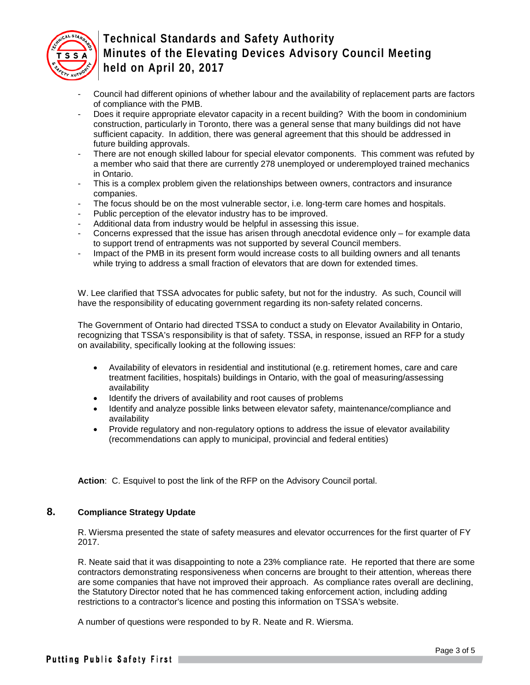

- Council had different opinions of whether labour and the availability of replacement parts are factors of compliance with the PMB.
- Does it require appropriate elevator capacity in a recent building? With the boom in condominium construction, particularly in Toronto, there was a general sense that many buildings did not have sufficient capacity. In addition, there was general agreement that this should be addressed in future building approvals.
- There are not enough skilled labour for special elevator components. This comment was refuted by a member who said that there are currently 278 unemployed or underemployed trained mechanics in Ontario.
- This is a complex problem given the relationships between owners, contractors and insurance companies.
- The focus should be on the most vulnerable sector, i.e. long-term care homes and hospitals.
- Public perception of the elevator industry has to be improved.
- Additional data from industry would be helpful in assessing this issue.
- Concerns expressed that the issue has arisen through anecdotal evidence only for example data to support trend of entrapments was not supported by several Council members.
- Impact of the PMB in its present form would increase costs to all building owners and all tenants while trying to address a small fraction of elevators that are down for extended times.

W. Lee clarified that TSSA advocates for public safety, but not for the industry. As such, Council will have the responsibility of educating government regarding its non-safety related concerns.

The Government of Ontario had directed TSSA to conduct a study on Elevator Availability in Ontario, recognizing that TSSA's responsibility is that of safety. TSSA, in response, issued an RFP for a study on availability, specifically looking at the following issues:

- Availability of elevators in residential and institutional (e.g. retirement homes, care and care treatment facilities, hospitals) buildings in Ontario, with the goal of measuring/assessing availability
- Identify the drivers of availability and root causes of problems
- Identify and analyze possible links between elevator safety, maintenance/compliance and availability
- Provide regulatory and non-regulatory options to address the issue of elevator availability (recommendations can apply to municipal, provincial and federal entities)

**Action**: C. Esquivel to post the link of the RFP on the Advisory Council portal.

#### **8. Compliance Strategy Update**

R. Wiersma presented the state of safety measures and elevator occurrences for the first quarter of FY 2017.

R. Neate said that it was disappointing to note a 23% compliance rate. He reported that there are some contractors demonstrating responsiveness when concerns are brought to their attention, whereas there are some companies that have not improved their approach. As compliance rates overall are declining, the Statutory Director noted that he has commenced taking enforcement action, including adding restrictions to a contractor's licence and posting this information on TSSA's website.

A number of questions were responded to by R. Neate and R. Wiersma.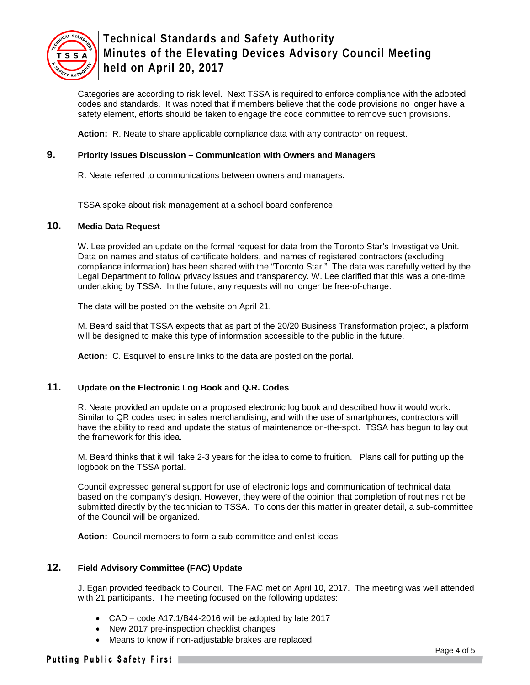

Categories are according to risk level. Next TSSA is required to enforce compliance with the adopted codes and standards. It was noted that if members believe that the code provisions no longer have a safety element, efforts should be taken to engage the code committee to remove such provisions.

**Action:** R. Neate to share applicable compliance data with any contractor on request.

## **9. Priority Issues Discussion – Communication with Owners and Managers**

R. Neate referred to communications between owners and managers.

TSSA spoke about risk management at a school board conference.

#### **10. Media Data Request**

W. Lee provided an update on the formal request for data from the Toronto Star's Investigative Unit. Data on names and status of certificate holders, and names of registered contractors (excluding compliance information) has been shared with the "Toronto Star." The data was carefully vetted by the Legal Department to follow privacy issues and transparency. W. Lee clarified that this was a one-time undertaking by TSSA. In the future, any requests will no longer be free-of-charge.

The data will be posted on the website on April 21.

M. Beard said that TSSA expects that as part of the 20/20 Business Transformation project, a platform will be designed to make this type of information accessible to the public in the future.

**Action:** C. Esquivel to ensure links to the data are posted on the portal.

## **11. Update on the Electronic Log Book and Q.R. Codes**

R. Neate provided an update on a proposed electronic log book and described how it would work. Similar to QR codes used in sales merchandising, and with the use of smartphones, contractors will have the ability to read and update the status of maintenance on-the-spot. TSSA has begun to lay out the framework for this idea.

M. Beard thinks that it will take 2-3 years for the idea to come to fruition. Plans call for putting up the logbook on the TSSA portal.

Council expressed general support for use of electronic logs and communication of technical data based on the company's design. However, they were of the opinion that completion of routines not be submitted directly by the technician to TSSA. To consider this matter in greater detail, a sub-committee of the Council will be organized.

**Action:** Council members to form a sub-committee and enlist ideas.

## **12. Field Advisory Committee (FAC) Update**

J. Egan provided feedback to Council. The FAC met on April 10, 2017. The meeting was well attended with 21 participants. The meeting focused on the following updates:

- CAD code A17.1/B44-2016 will be adopted by late 2017
- New 2017 pre-inspection checklist changes
- Means to know if non-adjustable brakes are replaced